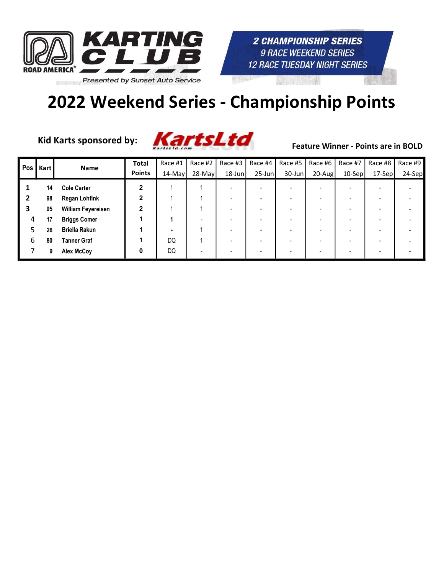



Kid Karts sponsored by:



| <b>Pos</b> | <b>Kart</b> | Name                      | <b>Total</b>   | Race #1 | Race #2   | Race #3   | Race #4 $ $ | Race #5   | Race #6   | Race #7  | Race #8 | Race #9 |
|------------|-------------|---------------------------|----------------|---------|-----------|-----------|-------------|-----------|-----------|----------|---------|---------|
|            |             |                           | <b>Points</b>  | 14-May  | $28$ -May | $18$ -Jun | $25 - Jun$  | $30$ -Jun | $20$ -Aug | $10-Sep$ | 17-Sep  | 24-Sep  |
|            | 14          | <b>Cole Carter</b>        | 2              |         |           |           |             |           |           |          |         |         |
|            | 98          | <b>Regan Lohfink</b>      | $\mathbf{2}$   |         |           |           |             |           |           |          |         |         |
|            | 95          | <b>William Feyereisen</b> | $\overline{2}$ |         |           |           |             |           |           |          |         |         |
| 4          | 17          | <b>Briggs Comer</b>       |                |         |           |           |             |           |           |          |         |         |
| 5          | 26          | <b>Briella Rakun</b>      |                |         |           |           |             |           |           |          |         |         |
| 6          | 80          | <b>Tanner Graf</b>        |                | DQ      |           |           |             |           |           |          |         |         |
|            | 9           | Alex McCoy                | 0              | DQ      |           |           |             |           |           |          |         |         |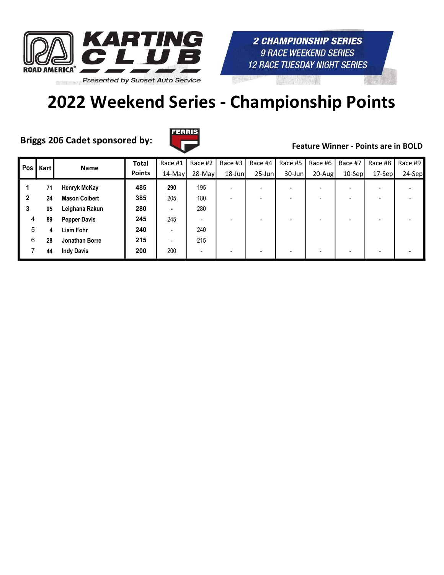

# 2022 Weekend Series - Championship Points

Briggs 206 Cadet sponsored by:



| Pos | <b>Kart</b> | <b>Name</b>          | <b>Total</b>  | Race #1                  | Race #2                  | Race #3                  | Race #4                  | Race #5   | Race #6                  | Race #7  | Race #8                  | Race #9 |
|-----|-------------|----------------------|---------------|--------------------------|--------------------------|--------------------------|--------------------------|-----------|--------------------------|----------|--------------------------|---------|
|     |             |                      | <b>Points</b> | 14-May                   | $28$ -May                | $18$ -Jun                | $25$ -Jun                | $30$ -Jun | $20-Aug$                 | $10-Sep$ | 17-Sep                   | 24-Sep  |
|     | 71          | <b>Henryk McKay</b>  | 485           | 290                      | 195                      | $\overline{\phantom{0}}$ | $\overline{\phantom{0}}$ |           | $\overline{\phantom{0}}$ |          | -                        |         |
| 2   | 24          | <b>Mason Colbert</b> | 385           | 205                      | 180                      |                          | $\overline{\phantom{0}}$ |           | -                        |          | -                        |         |
| 3   | 95          | Leighana Rakun       | 280           | ۰                        | 280                      |                          |                          |           |                          |          |                          |         |
| 4   | 89          | <b>Pepper Davis</b>  | 245           | 245                      | $\overline{\phantom{0}}$ |                          | $\overline{\phantom{0}}$ |           |                          |          | $\overline{\phantom{0}}$ |         |
| 5   | 4           | Liam Fohr            | 240           | $\overline{\phantom{0}}$ | 240                      |                          |                          |           |                          |          |                          |         |
| 6   | 28          | Jonathan Borre       | 215           |                          | 215                      |                          |                          |           |                          |          |                          |         |
|     | 44          | <b>Indy Davis</b>    | 200           | 200                      | $\overline{\phantom{0}}$ |                          | $\overline{\phantom{0}}$ |           |                          |          | $\overline{\phantom{0}}$ |         |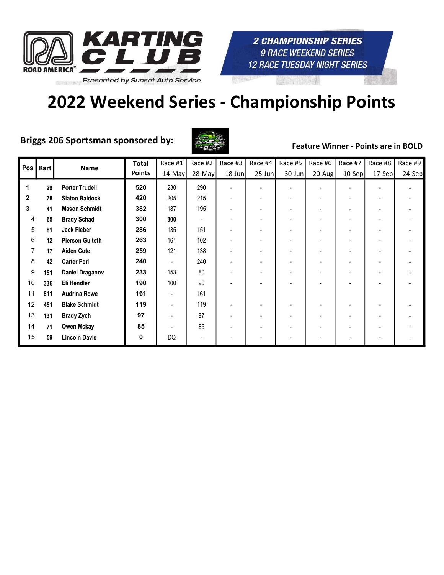

# 2022 Weekend Series - Championship Points

## Briggs 206 Sportsman sponsored by:



| Pos         | Kart | Name                   | <b>Total</b>  | Race #1                  | Race #2                  | Race #3   | Race #4                  | Race #5   | Race #6   | Race #7  | Race #8 | Race #9 |
|-------------|------|------------------------|---------------|--------------------------|--------------------------|-----------|--------------------------|-----------|-----------|----------|---------|---------|
|             |      |                        | <b>Points</b> | $14$ -May                | $28$ -May                | $18$ -Jun | $25$ -Jun                | $30$ -Jun | $20$ -Aug | $10-Sep$ | 17-Sep  | 24-Sep  |
| 1           | 29   | <b>Porter Trudell</b>  | 520           | 230                      | 290                      |           | $\blacksquare$           |           | -         |          |         |         |
| $\mathbf 2$ | 78   | <b>Slaton Baldock</b>  | 420           | 205                      | 215                      |           | $\blacksquare$           |           | -         |          |         |         |
| 3           | 41   | <b>Mason Schmidt</b>   | 382           | 187                      | 195                      |           | $\blacksquare$           |           | -         |          |         |         |
| 4           | 65   | <b>Brady Schad</b>     | 300           | 300                      | $\overline{\phantom{a}}$ |           | $\overline{\phantom{a}}$ |           |           |          |         |         |
| 5           | 81   | Jack Fieber            | 286           | 135                      | 151                      |           |                          |           |           |          |         |         |
| 6           | 12   | <b>Pierson Gulteth</b> | 263           | 161                      | 102                      |           |                          |           |           |          |         |         |
| 7           | 17   | <b>Aiden Cote</b>      | 259           | 121                      | 138                      |           |                          |           |           |          |         |         |
| 8           | 42   | <b>Carter Perl</b>     | 240           | $\overline{\phantom{a}}$ | 240                      |           | $\overline{\phantom{0}}$ |           |           |          |         |         |
| 9           | 151  | <b>Daniel Draganov</b> | 233           | 153                      | 80                       |           |                          |           |           |          |         |         |
| 10          | 336  | Eli Hendler            | 190           | 100                      | 90                       |           |                          |           |           |          |         |         |
| 11          | 811  | <b>Audrina Rowe</b>    | 161           |                          | 161                      |           |                          |           |           |          |         |         |
| 12          | 451  | <b>Blake Schmidt</b>   | 119           |                          | 119                      |           |                          |           |           |          |         |         |
| 13          | 131  | <b>Brady Zych</b>      | 97            |                          | 97                       |           | $\blacksquare$           |           |           |          |         |         |
| 14          | 71   | Owen Mckay             | 85            |                          | 85                       |           |                          |           |           |          |         |         |
| 15          | 59   | <b>Lincoln Davis</b>   | 0             | DQ                       | $\blacksquare$           |           |                          |           |           |          |         |         |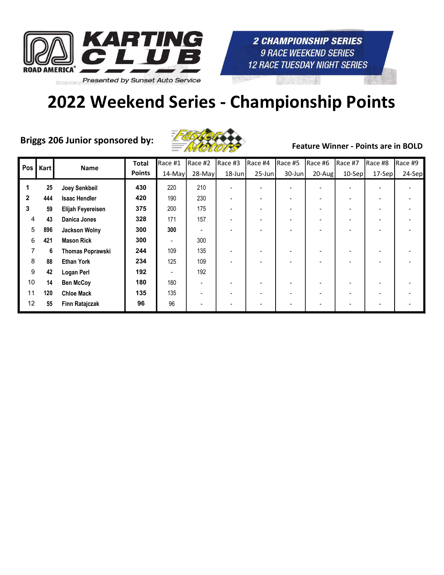



Briggs 206 Junior sponsored by: Feature Winner - Points are in BOLD



| Pos          | <b>Kart</b> | <b>Name</b>             | <b>Total</b>  | Race #1 | Race #2 | Race #3 | Race #4                  | Race #5 | Race #6   | Race #7 | Race #8 | Race #9 |
|--------------|-------------|-------------------------|---------------|---------|---------|---------|--------------------------|---------|-----------|---------|---------|---------|
|              |             |                         | <b>Points</b> | 14-May  | 28-May  | 18-Jun  | $25$ -Jun                | 30-Jun  | $20$ -Aug | 10-Sep  | 17-Sepl | 24-Sep  |
| 1            | 25          | Joey Senkbeil           | 430           | 220     | 210     |         |                          |         |           |         |         |         |
| $\mathbf{2}$ | 444         | <b>Isaac Hendler</b>    | 420           | 190     | 230     |         |                          |         |           |         |         |         |
| 3            | 59          | Elijah Feyereisen       | 375           | 200     | 175     |         | $\overline{\phantom{0}}$ |         |           |         |         |         |
| 4            | 43          | Danica Jones            | 328           | 171     | 157     |         | $\overline{\phantom{a}}$ |         |           |         |         |         |
| 5            | 896         | <b>Jackson Wolny</b>    | 300           | 300     |         |         |                          |         |           |         |         |         |
| 6            | 421         | <b>Mason Rick</b>       | 300           |         | 300     |         |                          |         |           |         |         |         |
| 7            | 6           | <b>Thomas Poprawski</b> | 244           | 109     | 135     |         | $\overline{\phantom{a}}$ |         |           |         |         |         |
| 8            | 88          | <b>Ethan York</b>       | 234           | 125     | 109     |         |                          |         |           |         |         |         |
| 9            | 42          | <b>Logan Perl</b>       | 192           |         | 192     |         |                          |         |           |         |         |         |
| 10           | 14          | <b>Ben McCoy</b>        | 180           | 180     |         |         |                          |         |           |         |         |         |
| 11           | 120         | <b>Chloe Mack</b>       | 135           | 135     |         |         | $\overline{\phantom{a}}$ |         |           |         | ۰       |         |
| 12           | 55          | Finn Ratajczak          | 96            | 96      |         |         | $\overline{\phantom{a}}$ |         |           |         | ۰       |         |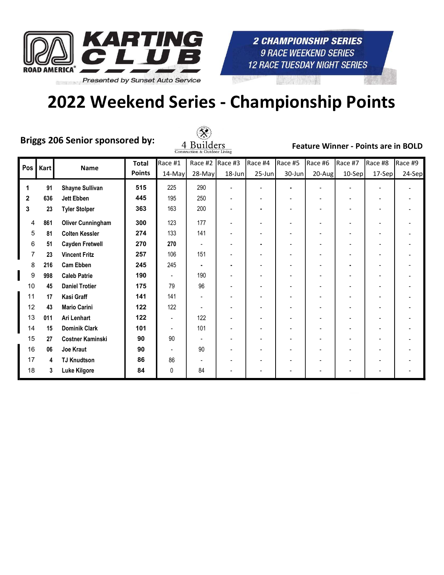

# 2022 Weekend Series - Championship Points

Briggs 206 Senior sponsored by:



| Pos            | Kart | <b>Name</b>              | <b>Total</b>  | Race #1   | Race #2  | Race #3 | Race #4                  | Race #5   | Race #6 | Race #7  | Race #8 | Race #9 |
|----------------|------|--------------------------|---------------|-----------|----------|---------|--------------------------|-----------|---------|----------|---------|---------|
|                |      |                          | <b>Points</b> | $14$ -May | $28-May$ | 18-Jun  | $25$ -Jun                | $30$ -Jun | 20-Aug  | $10-Sep$ | 17-Sep  | 24-Sep  |
| 1              | 91   | <b>Shayne Sullivan</b>   | 515           | 225       | 290      |         |                          |           |         |          |         |         |
| $\overline{2}$ | 636  | Jett Ebben               | 445           | 195       | 250      |         |                          |           |         |          |         |         |
| 3              | 23   | <b>Tyler Stolper</b>     | 363           | 163       | 200      |         |                          |           |         |          |         |         |
| 4              | 861  | <b>Oliver Cunningham</b> | 300           | 123       | 177      |         | $\blacksquare$           |           |         | -        | ٠       |         |
| 5              | 81   | <b>Colten Kessler</b>    | 274           | 133       | 141      |         |                          |           |         |          |         |         |
| 6              | 51   | <b>Cayden Fretwell</b>   | 270           | 270       |          |         |                          |           |         |          |         |         |
|                | 23   | <b>Vincent Fritz</b>     | 257           | 106       | 151      |         |                          |           |         |          |         |         |
| 8              | 216  | <b>Cam Ebben</b>         | 245           | 245       |          | ٠       | $\overline{\phantom{a}}$ |           |         |          |         |         |
| 9              | 998  | <b>Caleb Patrie</b>      | 190           | ٠         | 190      |         |                          |           |         |          |         |         |
| 10             | 45   | <b>Daniel Trotier</b>    | 175           | 79        | 96       |         |                          |           |         |          |         |         |
| 11             | 17   | Kasi Graff               | 141           | 141       |          |         |                          |           |         |          |         |         |
| 12             | 43   | <b>Mario Carini</b>      | 122           | 122       |          |         |                          |           |         |          |         |         |
| 13             | 011  | Ari Lenhart              | 122           | ٠         | 122      |         | $\blacksquare$           |           |         |          |         |         |
| 14             | 15   | <b>Dominik Clark</b>     | 101           |           | 101      |         |                          |           |         |          |         |         |
| 15             | 27   | <b>Costner Kaminski</b>  | 90            | 90        |          |         |                          |           |         |          |         |         |
| 16             | 06   | Joe Kraut                | 90            |           | 90       |         |                          |           |         |          |         |         |
| 17             | 4    | <b>TJ Knudtson</b>       | 86            | 86        |          |         | $\blacksquare$           |           |         |          |         |         |
| 18             | 3    | <b>Luke Kilgore</b>      | 84            | 0         | 84       |         |                          |           |         |          |         |         |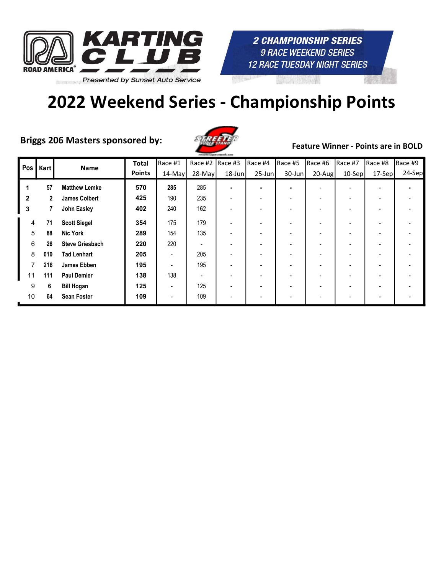

Briggs 206 Masters sponsored by:



Feature Winner - Points are in BOLD

**2 CHAMPIONSHIP SERIES 9 RACE WEEKEND SERIES 12 RACE TUESDAY NIGHT SERIES** 

| Pos | Kart | <b>Name</b>            | Total         | Race #1   | Race #2  | $Race$ #3 | Race #4   | Race #5   | Race #6   | Race #7  | Race #8 | Race #9 |
|-----|------|------------------------|---------------|-----------|----------|-----------|-----------|-----------|-----------|----------|---------|---------|
|     |      |                        | <b>Points</b> | $14$ -May | $28-May$ | $18$ -Jun | $25$ -Jun | $30$ -Jun | $20$ -Aug | $10-Sep$ | 17-Sepl | 24-Sep  |
|     | 57   | <b>Matthew Lemke</b>   | 570           | 285       | 285      |           |           |           |           |          |         |         |
| 2   | 2    | <b>James Colbert</b>   | 425           | 190       | 235      |           |           |           |           |          |         |         |
| 3   | 7    | John Easley            | 402           | 240       | 162      |           |           |           |           |          |         |         |
| 4   | 71   | <b>Scott Siegel</b>    | 354           | 175       | 179      |           |           |           |           |          |         |         |
| 5   | 88   | <b>Nic York</b>        | 289           | 154       | 135      |           |           |           |           |          |         |         |
| 6   | 26   | <b>Steve Griesbach</b> | 220           | 220       |          |           |           |           |           |          |         |         |
| 8   | 010  | <b>Tad Lenhart</b>     | 205           |           | 205      |           |           |           |           |          |         |         |
| 7   | 216  | <b>James Ebben</b>     | 195           |           | 195      |           |           |           |           |          |         |         |
| 11  | 111  | <b>Paul Demler</b>     | 138           | 138       |          |           |           |           |           |          |         |         |
| 9   | 6    | <b>Bill Hogan</b>      | 125           |           | 125      |           |           |           |           |          |         |         |
| 10  | 64   | <b>Sean Foster</b>     | 109           |           | 109      |           |           |           |           |          |         |         |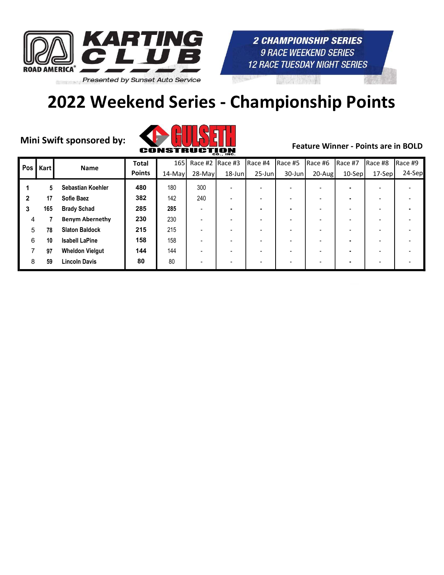

# 2022 Weekend Series - Championship Points



| Pos | Kart | <b>Name</b>            | <b>Total</b>  | 165 <sup> </sup> | Race #2 Race #3 |           | Race #4                  | Race #5   | Race #6                  | Race #7  | Race #8                  | Race #9 |
|-----|------|------------------------|---------------|------------------|-----------------|-----------|--------------------------|-----------|--------------------------|----------|--------------------------|---------|
|     |      |                        | <b>Points</b> | 14-May           | 28-May          | $18$ -Jun | $25$ -Jun                | $30$ -Jun | 20-Augl                  | $10-Sep$ | 17-Sep                   | 24-Sep  |
|     | 5    | Sebastian Koehler      | 480           | 180              | 300             |           | $\overline{\phantom{0}}$ |           | $\overline{\phantom{0}}$ |          |                          |         |
| 2   | 17   | <b>Sofie Baez</b>      | 382           | 142              | 240             |           |                          |           |                          |          |                          |         |
| 3   | 165  | <b>Brady Schad</b>     | 285           | 285              |                 |           | ٠                        |           | -                        |          | -                        |         |
| 4   |      | <b>Benym Abernethy</b> | 230           | 230              |                 |           | $\overline{\phantom{0}}$ |           |                          |          |                          |         |
| 5   | 78   | <b>Slaton Baldock</b>  | 215           | 215              |                 |           |                          |           |                          |          |                          |         |
| 6   | 10   | <b>Isabell LaPine</b>  | 158           | 158              |                 |           | $\overline{\phantom{0}}$ |           |                          |          | $\overline{\phantom{0}}$ |         |
|     | 97   | <b>Wheldon Vielgut</b> | 144           | 144              |                 |           | $\overline{\phantom{0}}$ |           |                          |          |                          |         |
| 8   | 59   | <b>Lincoln Davis</b>   | 80            | 80               |                 |           |                          |           |                          |          |                          |         |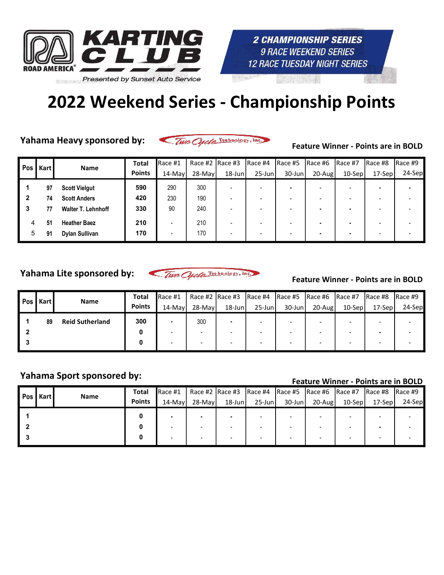

Yahama Heavy sponsored by:

Two Cycle Technology, Inc.

Feature Winner - Points are in BOLD

| Pos I | Kart | <b>Name</b>               | <b>Total</b>  | Race #1   | Race #2 Race #3 |           | IRace #4  | Race #5   | Race #6  | IRace #7  | Race #8 | Race #9 |
|-------|------|---------------------------|---------------|-----------|-----------------|-----------|-----------|-----------|----------|-----------|---------|---------|
|       |      |                           | <b>Points</b> | $14$ -May | 28-Mayl         | $18$ -Jun | $25$ -Jun | $30$ -Jun | $20-Aug$ | $10-$ Sep | 17-Sep  | 24-Sep  |
|       | 97   | <b>Scott Vielgut</b>      | 590           | 290       | 300             |           |           |           |          |           |         |         |
| 2     | 74   | <b>Scott Anders</b>       | 420           | 230       | 190             |           |           |           |          |           |         |         |
| 3     |      | <b>Walter T. Lehnhoff</b> | 330           | 90        | 240             |           |           |           |          |           |         |         |
| 4     | 51   | <b>Heather Baez</b>       | 210           | -         | 210             |           |           |           |          |           |         |         |
| 5     | 91   | Dylan Sullivan            | 170           | -         | 170             |           |           |           |          |           |         |         |

Yahama Lite sponsored by:

Two Cycle Technology, Inc.

### Feature Winner - Points are in BOLD

| Pos I | Kart | <b>Name</b>            | Total         | Race#1  |                          |           |                          | Race #2   Race #3   Race #4   Race #5   Race #6   Race #7 |           |         | Race #8 | Race #9  |
|-------|------|------------------------|---------------|---------|--------------------------|-----------|--------------------------|-----------------------------------------------------------|-----------|---------|---------|----------|
|       |      |                        | <b>Points</b> | 14-Mayl | 28-Mayl                  | $18$ -Jun | $25$ -Jun                | 30-Junl                                                   | $20$ -Aug | 10-Sepl | 17-Sep  | $24-Sep$ |
|       | 89   | <b>Reid Sutherland</b> | 300           |         | 300                      |           |                          |                                                           |           |         |         |          |
|       |      |                        |               |         |                          |           |                          |                                                           |           |         |         |          |
|       |      |                        |               |         | $\overline{\phantom{0}}$ |           | $\overline{\phantom{a}}$ |                                                           |           |         |         |          |

# Yahama Sport sponsored by:<br>Feature Winner - Points are in BOLD

| Pos I | l Kart l | <b>Name</b> | Total         | Race #1 |         |           |           | Race #2  Race #3  Race #4  Race #5  Race #6  Race #7  Race #8  Race #9 |        |           |         |        |
|-------|----------|-------------|---------------|---------|---------|-----------|-----------|------------------------------------------------------------------------|--------|-----------|---------|--------|
|       |          |             | <b>Points</b> | 14-Mayl | 28-Mayl | $18$ -Jun | $25$ -Jun | $30$ -Jun                                                              | 20-Aug | $10-$ Sep | 17-Sepl | 24-Sep |
|       |          |             |               |         |         |           |           |                                                                        |        |           |         |        |
|       |          |             |               |         |         |           |           |                                                                        |        |           |         |        |
|       |          |             |               |         |         |           |           |                                                                        |        |           |         |        |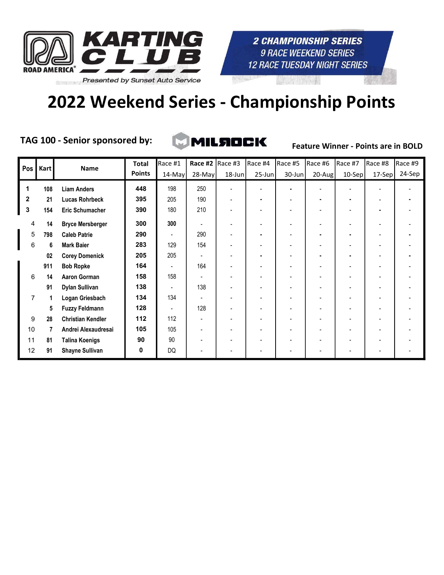

# 2022 Weekend Series - Championship Points

TAG 100 - Senior sponsored by:

MILAOCK

| Pos            | <b>Kart</b> | Name                     | <b>Total</b>  | Race #1 | Race #2  | Race #3 | Race #4                  | Race #5   | Race #6   | Race #7  | Race #8                  | Race #9 |
|----------------|-------------|--------------------------|---------------|---------|----------|---------|--------------------------|-----------|-----------|----------|--------------------------|---------|
|                |             |                          | <b>Points</b> | 14-May  | $28-May$ | 18-Jun  | $25$ -Jun                | $30$ -Jun | $20$ -Aug | $10-Sep$ | 17-Sep                   | 24-Sep  |
| 1              | 108         | <b>Liam Anders</b>       | 448           | 198     | 250      |         |                          |           |           |          |                          |         |
| $\mathbf{2}$   | 21          | Lucas Rohrbeck           | 395           | 205     | 190      |         |                          |           |           |          |                          |         |
| $\mathbf{3}$   | 154         | <b>Eric Schumacher</b>   | 390           | 180     | 210      |         |                          |           |           |          | ٠                        |         |
| 4              | 14          | <b>Bryce Mersberger</b>  | 300           | 300     |          |         |                          |           |           |          |                          |         |
| 5              | 798         | <b>Caleb Patrie</b>      | 290           |         | 290      |         |                          |           |           |          |                          |         |
| 6              | 6           | <b>Mark Baier</b>        | 283           | 129     | 154      |         |                          |           |           |          |                          |         |
|                | 02          | <b>Corey Domenick</b>    | 205           | 205     |          |         | ٠                        |           |           | ۰        |                          |         |
|                | 911         | <b>Bob Ropke</b>         | 164           |         | 164      |         | $\overline{\phantom{0}}$ |           |           |          | $\overline{\phantom{a}}$ |         |
| 6              | 14          | <b>Aaron Gorman</b>      | 158           | 158     |          |         |                          |           |           |          |                          |         |
|                | 91          | <b>Dylan Sullivan</b>    | 138           |         | 138      |         |                          |           |           |          |                          |         |
| $\overline{7}$ | 1           | Logan Griesbach          | 134           | 134     |          |         |                          |           |           |          |                          |         |
|                | 5           | <b>Fuzzy Feldmann</b>    | 128           |         | 128      |         |                          |           |           |          |                          |         |
| 9              | 28          | <b>Christian Kendler</b> | 112           | 112     |          |         |                          |           |           |          |                          |         |
| 10             | 7           | Andrei Alexaudresai      | 105           | 105     |          |         |                          |           |           |          |                          |         |
| 11             | 81          | <b>Talina Koenigs</b>    | 90            | 90      |          |         |                          |           |           |          |                          |         |
| 12             | 91          | <b>Shayne Sullivan</b>   | 0             | DQ      |          |         |                          |           |           |          |                          |         |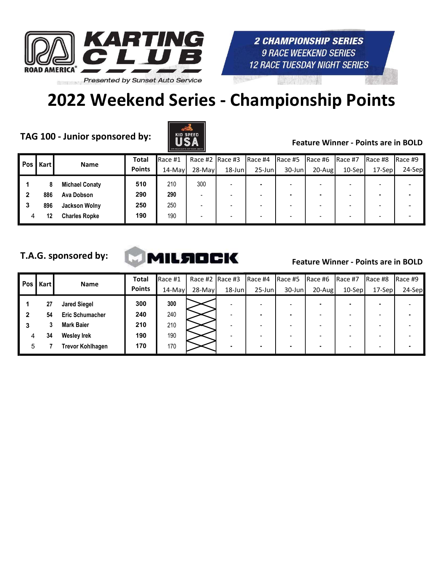

# 2022 Weekend Series - Championship Points

TAG 100 - Junior sponsored by:  $\begin{array}{c|c} \parallel & \parallel & \parallel & \parallel \end{array}$  Feature Winner - Points are in BOLD



| Pos | Kart | <b>Name</b>           | <b>Total</b>  | Race #1   | Race #2 $ $ Race #3      |        | IRace #4                 | Race #5   | Race #6    | IRace #7  | IRace #8                 | IRace #9 |
|-----|------|-----------------------|---------------|-----------|--------------------------|--------|--------------------------|-----------|------------|-----------|--------------------------|----------|
|     |      |                       | <b>Points</b> | $14$ -May | $28-Mav$                 | 18-Jun | $25$ -Jun                | $30$ -Jun | $20 - Aug$ | $10-$ Sep | $17-$ Sep                | 24-Sep   |
|     |      | <b>Michael Conaty</b> | 510           | 210       | 300                      |        | ٠                        |           |            |           |                          |          |
|     | 886  | Ava Dobson            | 290           | 290       |                          |        | $\overline{\phantom{0}}$ |           | ۰          |           |                          |          |
| 3   | 896  | Jackson Wolny         | 250           | 250       | $\overline{\phantom{0}}$ |        | $\overline{\phantom{0}}$ |           | -          |           | $\overline{\phantom{0}}$ |          |
| 4   | 12   | <b>Charles Ropke</b>  | 190           | 190       |                          |        | $\overline{\phantom{0}}$ |           | -          |           |                          |          |

## T.A.G. sponsored by:



| Pos | Kart | <b>Name</b>            | <b>Total</b>  | Race #1   | Race #2 $ $ Race #3 |           | Race #4   | Race #5   | Race #6   | IRace #7  | Race #8  | Race #9 |
|-----|------|------------------------|---------------|-----------|---------------------|-----------|-----------|-----------|-----------|-----------|----------|---------|
|     |      |                        | <b>Points</b> | $14$ -May | $28-Mav$            | $18$ -Jun | $25$ -Jun | $30$ -Jun | $20$ -Aug | $10$ -Sep | $17-Sep$ | 24-Sep  |
|     | 27   | <b>Jared Siegel</b>    | 300           | 300       |                     |           |           |           |           |           |          |         |
|     | 54   | <b>Eric Schumacher</b> | 240           | 240       |                     |           |           |           |           |           |          |         |
| 3   |      | <b>Mark Baier</b>      | 210           | 210       |                     |           |           |           |           |           |          |         |
| 4   | 34   | <b>Wesley Irek</b>     | 190           | 190       |                     |           | ۰         |           |           |           |          |         |
| 5   |      | Trevor Kohlhagen       | 170           | 170       |                     |           |           |           | ۰         |           |          |         |